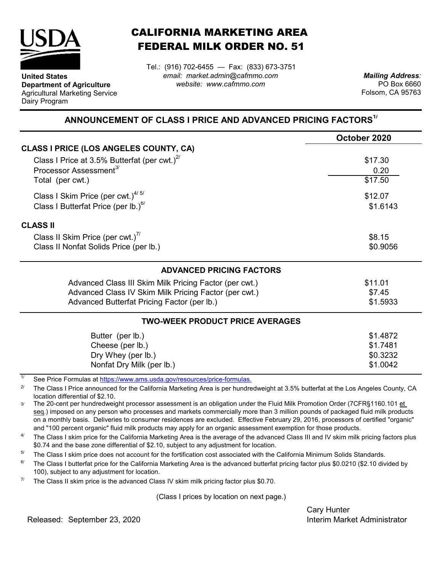

**United States**

Dairy Program

**Department of Agriculture** Agricultural Marketing Service

## CALIFORNIA MARKETING AREA FEDERAL MILK ORDER NO. 51

*email: market.admin@cafmmo.com website: www.cafmmo.com* Tel.: (916) 702-6455 — Fax: (833) 673-3751

*Mailing Address:* PO Box 6660 Folsom, CA 95763

## **ANNOUNCEMENT OF CLASS I PRICE AND ADVANCED PRICING FACTORS1/**

|                                                                         | October 2020 |  |  |
|-------------------------------------------------------------------------|--------------|--|--|
| <b>CLASS I PRICE (LOS ANGELES COUNTY, CA)</b>                           |              |  |  |
| Class I Price at 3.5% Butterfat (per cwt.) $2^{7}$                      | \$17.30      |  |  |
| Processor Assessment <sup>3/</sup>                                      | 0.20         |  |  |
| Total (per cwt.)                                                        | \$17.50      |  |  |
| Class I Skim Price (per cwt.) $4/5/$                                    | \$12.07      |  |  |
| Class I Butterfat Price (per lb.) $^{6/}$                               | \$1.6143     |  |  |
| <b>CLASS II</b>                                                         |              |  |  |
| Class II Skim Price (per cwt.) <sup>7/</sup>                            | \$8.15       |  |  |
| Class II Nonfat Solids Price (per lb.)                                  | \$0.9056     |  |  |
| <b>ADVANCED PRICING FACTORS</b>                                         |              |  |  |
| Advanced Class III Skim Milk Pricing Factor (per cwt.)                  | \$11.01      |  |  |
| Advanced Class IV Skim Milk Pricing Factor (per cwt.)                   | \$7.45       |  |  |
| Advanced Butterfat Pricing Factor (per lb.)                             | \$1.5933     |  |  |
| <b>TWO-WEEK PRODUCT PRICE AVERAGES</b>                                  |              |  |  |
| Butter (per lb.)                                                        | \$1.4872     |  |  |
| Cheese (per lb.)                                                        | \$1.7481     |  |  |
| Dry Whey (per lb.)                                                      | \$0.3232     |  |  |
| Nonfat Dry Milk (per lb.)                                               | \$1.0042     |  |  |
| See Price Formulas at https://www.ams.usda.gov/resources/price-formulas |              |  |  |

See Price Formulas at <u>https://www.ams.usda.gov/r</u>

2/ The Class I Price announced for the California Marketing Area is per hundredweight at 3.5% butterfat at the Los Angeles County, CA location differential of \$2.10.

3/ The 20-cent per hundredweight processor assessment is an obligation under the Fluid Milk Promotion Order (7CFR§1160.101 et seq.) imposed on any person who processes and markets commercially more than 3 million pounds of packaged fluid milk products on a monthly basis. Deliveries to consumer residences are excluded. Effective February 29, 2016, processors of certified "organic" and "100 percent organic" fluid milk products may apply for an organic assessment exemption for those products.

4/ The Class I skim price for the California Marketing Area is the average of the advanced Class III and IV skim milk pricing factors plus \$0.74 and the base zone differential of \$2.10, subject to any adjustment for location.

5/ The Class I skim price does not account for the fortification cost associated with the California Minimum Solids Standards.

6/ The Class I butterfat price for the California Marketing Area is the advanced butterfat pricing factor plus \$0.0210 (\$2.10 divided by 100), subject to any adjustment for location.

7/ The Class II skim price is the advanced Class IV skim milk pricing factor plus \$0.70.

(Class I prices by location on next page.)

Cary Hunter

Released: Interim Market Administrator September 23, 2020